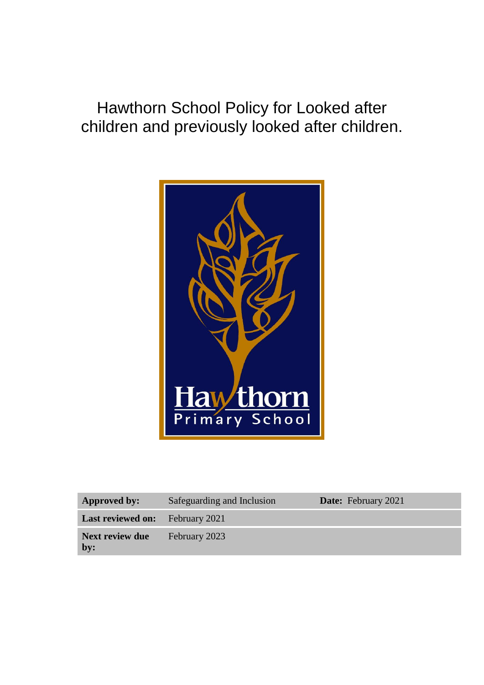Hawthorn School Policy for Looked after children and previously looked after children.



| <b>Approved by:</b>                    | Safeguarding and Inclusion | <b>Date:</b> February 2021 |
|----------------------------------------|----------------------------|----------------------------|
| <b>Last reviewed on:</b> February 2021 |                            |                            |
| Next review due<br>by:                 | February 2023              |                            |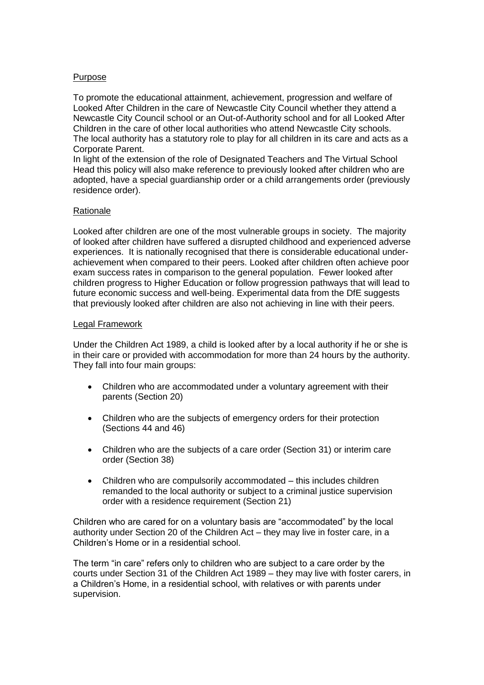### Purpose

To promote the educational attainment, achievement, progression and welfare of Looked After Children in the care of Newcastle City Council whether they attend a Newcastle City Council school or an Out-of-Authority school and for all Looked After Children in the care of other local authorities who attend Newcastle City schools. The local authority has a statutory role to play for all children in its care and acts as a Corporate Parent.

In light of the extension of the role of Designated Teachers and The Virtual School Head this policy will also make reference to previously looked after children who are adopted, have a special guardianship order or a child arrangements order (previously residence order).

### Rationale

Looked after children are one of the most vulnerable groups in society. The majority of looked after children have suffered a disrupted childhood and experienced adverse experiences. It is nationally recognised that there is considerable educational underachievement when compared to their peers. Looked after children often achieve poor exam success rates in comparison to the general population. Fewer looked after children progress to Higher Education or follow progression pathways that will lead to future economic success and well-being. Experimental data from the DfE suggests that previously looked after children are also not achieving in line with their peers.

### Legal Framework

Under the Children Act 1989, a child is looked after by a local authority if he or she is in their care or provided with accommodation for more than 24 hours by the authority. They fall into four main groups:

- Children who are accommodated under a voluntary agreement with their parents (Section 20)
- Children who are the subjects of emergency orders for their protection (Sections 44 and 46)
- Children who are the subjects of a care order (Section 31) or interim care order (Section 38)
- Children who are compulsorily accommodated this includes children remanded to the local authority or subject to a criminal justice supervision order with a residence requirement (Section 21)

Children who are cared for on a voluntary basis are "accommodated" by the local authority under Section 20 of the Children Act – they may live in foster care, in a Children's Home or in a residential school.

The term "in care" refers only to children who are subject to a care order by the courts under Section 31 of the Children Act 1989 – they may live with foster carers, in a Children's Home, in a residential school, with relatives or with parents under supervision.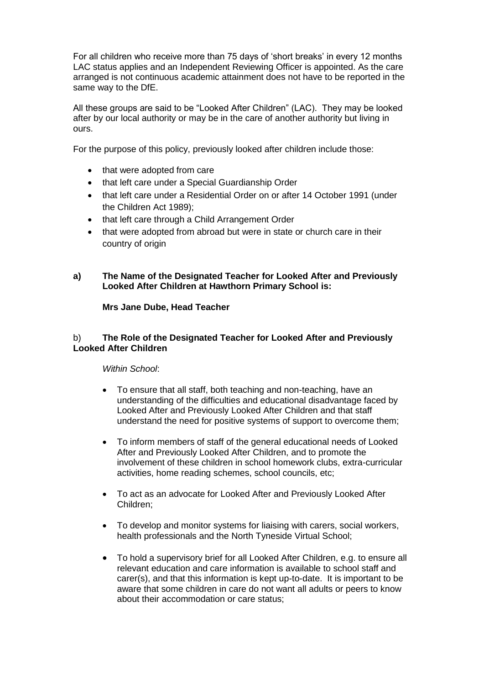For all children who receive more than 75 days of 'short breaks' in every 12 months LAC status applies and an Independent Reviewing Officer is appointed. As the care arranged is not continuous academic attainment does not have to be reported in the same way to the DfE.

All these groups are said to be "Looked After Children" (LAC). They may be looked after by our local authority or may be in the care of another authority but living in ours.

For the purpose of this policy, previously looked after children include those:

- that were adopted from care
- that left care under a Special Guardianship Order
- that left care under a Residential Order on or after 14 October 1991 (under the Children Act 1989);
- that left care through a Child Arrangement Order
- that were adopted from abroad but were in state or church care in their country of origin

## **a) The Name of the Designated Teacher for Looked After and Previously Looked After Children at Hawthorn Primary School is:**

## **Mrs Jane Dube, Head Teacher**

## b) **The Role of the Designated Teacher for Looked After and Previously Looked After Children**

## *Within School*:

- To ensure that all staff, both teaching and non-teaching, have an understanding of the difficulties and educational disadvantage faced by Looked After and Previously Looked After Children and that staff understand the need for positive systems of support to overcome them;
- To inform members of staff of the general educational needs of Looked After and Previously Looked After Children, and to promote the involvement of these children in school homework clubs, extra-curricular activities, home reading schemes, school councils, etc;
- To act as an advocate for Looked After and Previously Looked After Children;
- To develop and monitor systems for liaising with carers, social workers, health professionals and the North Tyneside Virtual School;
- To hold a supervisory brief for all Looked After Children, e.g. to ensure all relevant education and care information is available to school staff and carer(s), and that this information is kept up-to-date. It is important to be aware that some children in care do not want all adults or peers to know about their accommodation or care status;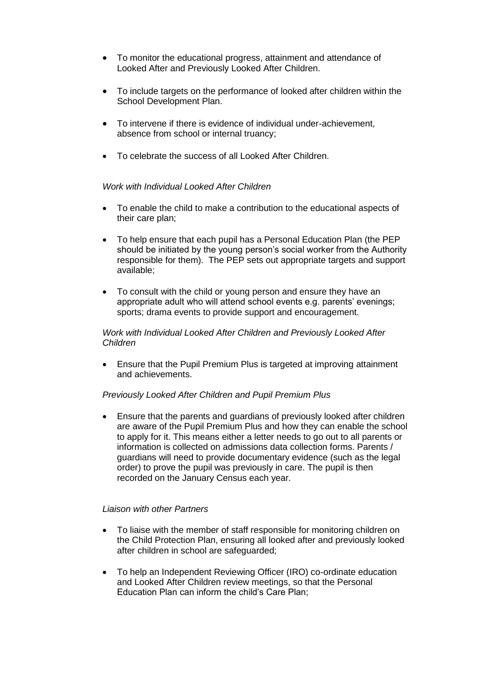- To monitor the educational progress, attainment and attendance of Looked After and Previously Looked After Children.
- To include targets on the performance of looked after children within the School Development Plan.
- To intervene if there is evidence of individual under-achievement, absence from school or internal truancy;
- To celebrate the success of all Looked After Children.

### *Work with Individual Looked After Children*

- To enable the child to make a contribution to the educational aspects of their care plan;
- To help ensure that each pupil has a Personal Education Plan (the PEP should be initiated by the young person's social worker from the Authority responsible for them). The PEP sets out appropriate targets and support available;
- To consult with the child or young person and ensure they have an appropriate adult who will attend school events e.g. parents' evenings; sports; drama events to provide support and encouragement.

#### *Work with Individual Looked After Children and Previously Looked After Children*

• Ensure that the Pupil Premium Plus is targeted at improving attainment and achievements.

#### *Previously Looked After Children and Pupil Premium Plus*

• Ensure that the parents and guardians of previously looked after children are aware of the Pupil Premium Plus and how they can enable the school to apply for it. This means either a letter needs to go out to all parents or information is collected on admissions data collection forms. Parents / guardians will need to provide documentary evidence (such as the legal order) to prove the pupil was previously in care. The pupil is then recorded on the January Census each year.

#### *Liaison with other Partners*

- To liaise with the member of staff responsible for monitoring children on the Child Protection Plan, ensuring all looked after and previously looked after children in school are safeguarded;
- To help an Independent Reviewing Officer (IRO) co-ordinate education and Looked After Children review meetings, so that the Personal Education Plan can inform the child's Care Plan;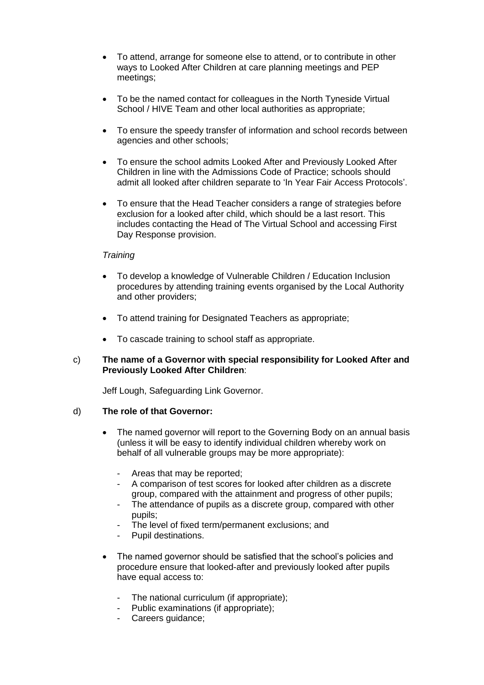- To attend, arrange for someone else to attend, or to contribute in other ways to Looked After Children at care planning meetings and PEP meetings;
- To be the named contact for colleagues in the North Tyneside Virtual School / HIVE Team and other local authorities as appropriate;
- To ensure the speedy transfer of information and school records between agencies and other schools;
- To ensure the school admits Looked After and Previously Looked After Children in line with the Admissions Code of Practice; schools should admit all looked after children separate to 'In Year Fair Access Protocols'.
- To ensure that the Head Teacher considers a range of strategies before exclusion for a looked after child, which should be a last resort. This includes contacting the Head of The Virtual School and accessing First Day Response provision.

### *Training*

- To develop a knowledge of Vulnerable Children / Education Inclusion procedures by attending training events organised by the Local Authority and other providers;
- To attend training for Designated Teachers as appropriate;
- To cascade training to school staff as appropriate.

### c) **The name of a Governor with special responsibility for Looked After and Previously Looked After Children**:

Jeff Lough, Safeguarding Link Governor.

#### d) **The role of that Governor:**

- The named governor will report to the Governing Body on an annual basis (unless it will be easy to identify individual children whereby work on behalf of all vulnerable groups may be more appropriate):
	- Areas that may be reported;
	- A comparison of test scores for looked after children as a discrete group, compared with the attainment and progress of other pupils;
	- The attendance of pupils as a discrete group, compared with other pupils;
	- The level of fixed term/permanent exclusions; and
	- Pupil destinations.
- The named governor should be satisfied that the school's policies and procedure ensure that looked-after and previously looked after pupils have equal access to:
	- The national curriculum (if appropriate);
	- Public examinations (if appropriate);
	- Careers guidance;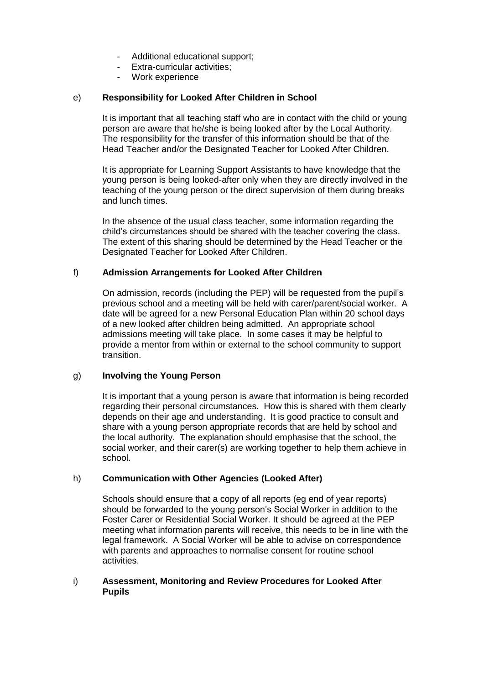- Additional educational support;
- Extra-curricular activities;
- Work experience

## e) **Responsibility for Looked After Children in School**

It is important that all teaching staff who are in contact with the child or young person are aware that he/she is being looked after by the Local Authority. The responsibility for the transfer of this information should be that of the Head Teacher and/or the Designated Teacher for Looked After Children.

It is appropriate for Learning Support Assistants to have knowledge that the young person is being looked-after only when they are directly involved in the teaching of the young person or the direct supervision of them during breaks and lunch times.

In the absence of the usual class teacher, some information regarding the child's circumstances should be shared with the teacher covering the class. The extent of this sharing should be determined by the Head Teacher or the Designated Teacher for Looked After Children.

## f) **Admission Arrangements for Looked After Children**

On admission, records (including the PEP) will be requested from the pupil's previous school and a meeting will be held with carer/parent/social worker. A date will be agreed for a new Personal Education Plan within 20 school days of a new looked after children being admitted. An appropriate school admissions meeting will take place. In some cases it may be helpful to provide a mentor from within or external to the school community to support transition.

## g) **Involving the Young Person**

It is important that a young person is aware that information is being recorded regarding their personal circumstances. How this is shared with them clearly depends on their age and understanding. It is good practice to consult and share with a young person appropriate records that are held by school and the local authority. The explanation should emphasise that the school, the social worker, and their carer(s) are working together to help them achieve in school.

## h) **Communication with Other Agencies (Looked After)**

Schools should ensure that a copy of all reports (eg end of year reports) should be forwarded to the young person's Social Worker in addition to the Foster Carer or Residential Social Worker. It should be agreed at the PEP meeting what information parents will receive, this needs to be in line with the legal framework. A Social Worker will be able to advise on correspondence with parents and approaches to normalise consent for routine school activities.

### i) **Assessment, Monitoring and Review Procedures for Looked After Pupils**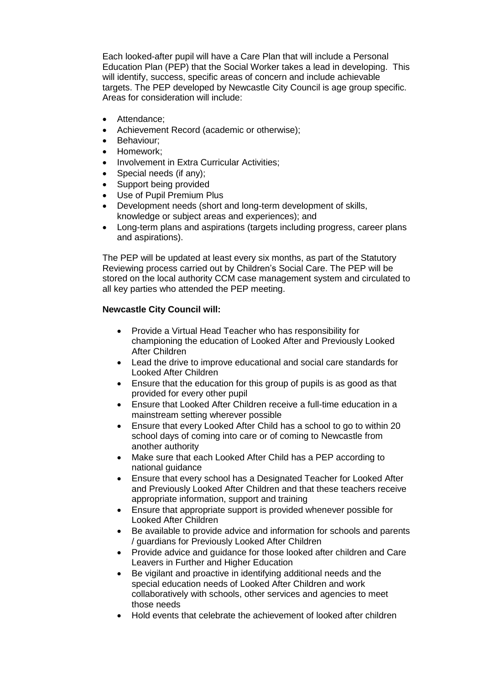Each looked-after pupil will have a Care Plan that will include a Personal Education Plan (PEP) that the Social Worker takes a lead in developing. This will identify, success, specific areas of concern and include achievable targets. The PEP developed by Newcastle City Council is age group specific. Areas for consideration will include:

- Attendance:
- Achievement Record (academic or otherwise);
- Behaviour:
- Homework;
- Involvement in Extra Curricular Activities;
- Special needs (if any);
- Support being provided
- Use of Pupil Premium Plus
- Development needs (short and long-term development of skills, knowledge or subject areas and experiences); and
- Long-term plans and aspirations (targets including progress, career plans and aspirations).

The PEP will be updated at least every six months, as part of the Statutory Reviewing process carried out by Children's Social Care. The PEP will be stored on the local authority CCM case management system and circulated to all key parties who attended the PEP meeting.

## **Newcastle City Council will:**

- Provide a Virtual Head Teacher who has responsibility for championing the education of Looked After and Previously Looked After Children
- Lead the drive to improve educational and social care standards for Looked After Children
- Ensure that the education for this group of pupils is as good as that provided for every other pupil
- Ensure that Looked After Children receive a full-time education in a mainstream setting wherever possible
- Ensure that every Looked After Child has a school to go to within 20 school days of coming into care or of coming to Newcastle from another authority
- Make sure that each Looked After Child has a PEP according to national guidance
- Ensure that every school has a Designated Teacher for Looked After and Previously Looked After Children and that these teachers receive appropriate information, support and training
- Ensure that appropriate support is provided whenever possible for Looked After Children
- Be available to provide advice and information for schools and parents / guardians for Previously Looked After Children
- Provide advice and guidance for those looked after children and Care Leavers in Further and Higher Education
- Be vigilant and proactive in identifying additional needs and the special education needs of Looked After Children and work collaboratively with schools, other services and agencies to meet those needs
- Hold events that celebrate the achievement of looked after children